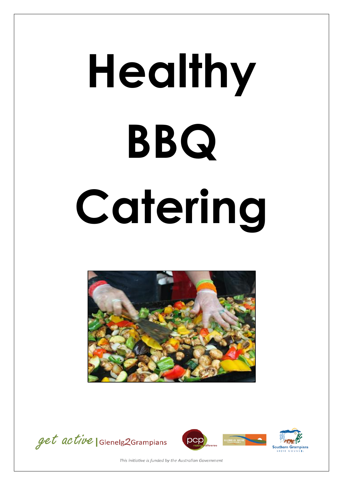# **Healthy BBQ Catering**







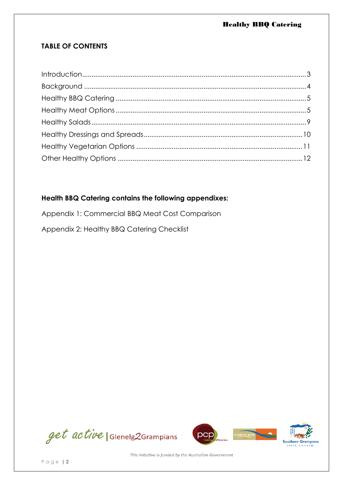## **TABLE OF CONTENTS**

### **Health BBQ Catering contains the following appendixes:**

Appendix 1: Commercial BBQ Meat Cost Comparison

Appendix 2: Healthy BBQ Catering Checklist







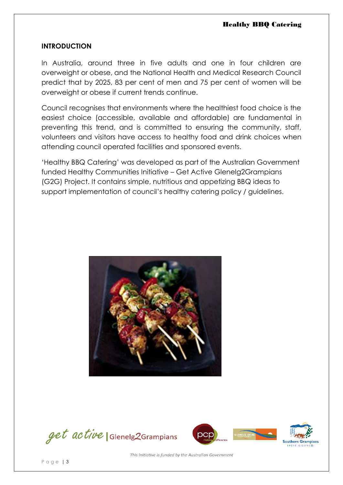#### **INTRODUCTION**

In Australia, around three in five adults and one in four children are overweight or obese, and the National Health and Medical Research Council predict that by 2025, 83 per cent of men and 75 per cent of women will be overweight or obese if current trends continue.

Council recognises that environments where the healthiest food choice is the easiest choice (accessible, available and affordable) are fundamental in preventing this trend, and is committed to ensuring the community, staff, volunteers and visitors have access to healthy food and drink choices when attending council operated facilities and sponsored events.

'Healthy BBQ Catering' was developed as part of the Australian Government funded Healthy Communities Initiative – Get Active Glenelg2Grampians (G2G) Project. It contains simple, nutritious and appetizing BBQ ideas to support implementation of council's healthy catering policy / guidelines.



get active | Glenelg2Grampians



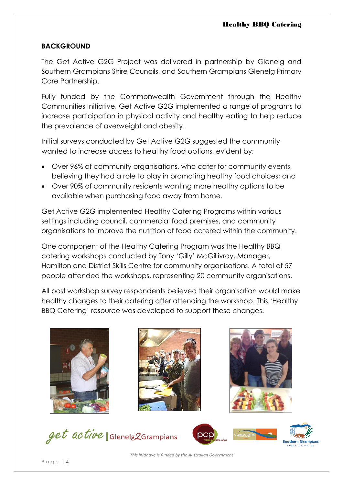#### **BACKGROUND**

The Get Active G2G Project was delivered in partnership by Glenelg and Southern Grampians Shire Councils, and Southern Grampians Glenelg Primary Care Partnership.

Fully funded by the Commonwealth Government through the Healthy Communities Initiative, Get Active G2G implemented a range of programs to increase participation in physical activity and healthy eating to help reduce the prevalence of overweight and obesity.

Initial surveys conducted by Get Active G2G suggested the community wanted to increase access to healthy food options, evident by;

- Over 96% of community organisations, who cater for community events, believing they had a role to play in promoting healthy food choices; and
- Over 90% of community residents wanting more healthy options to be available when purchasing food away from home.

Get Active G2G implemented Healthy Catering Programs within various settings including council, commercial food premises, and community organisations to improve the nutrition of food catered within the community.

One component of the Healthy Catering Program was the Healthy BBQ catering workshops conducted by Tony 'Gilly' McGillivray, Manager, Hamilton and District Skills Centre for community organisations. A total of 57 people attended the workshops, representing 20 community organisations.

All post workshop survey respondents believed their organisation would make healthy changes to their catering after attending the workshop. This 'Healthy BBQ Catering' resource was developed to support these changes.







get active | Glenelg2Grampians



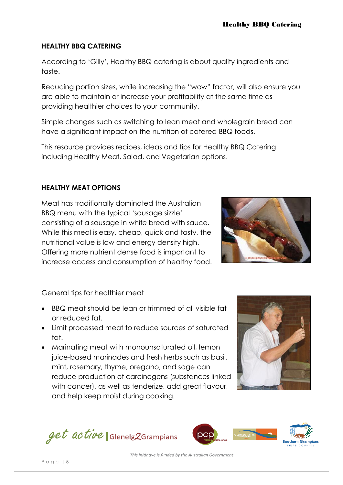## **HEALTHY BBQ CATERING**

According to 'Gilly', Healthy BBQ catering is about quality ingredients and taste.

Reducing portion sizes, while increasing the "wow" factor, will also ensure you are able to maintain or increase your profitability at the same time as providing healthier choices to your community.

Simple changes such as switching to lean meat and wholegrain bread can have a significant impact on the nutrition of catered BBQ foods.

This resource provides recipes, ideas and tips for Healthy BBQ Catering including Healthy Meat, Salad, and Vegetarian options.

## **HEALTHY MEAT OPTIONS**

Meat has traditionally dominated the Australian BBQ menu with the typical 'sausage sizzle' consisting of a sausage in white bread with sauce. While this meal is easy, cheap, quick and tasty, the nutritional value is low and energy density high. Offering more nutrient dense food is important to increase access and consumption of healthy food.



General tips for healthier meat

- BBQ meat should be lean or trimmed of all visible fat or reduced fat.
- Limit processed meat to reduce sources of saturated fat.
- Marinating meat with monounsaturated oil, lemon juice-based marinades and fresh herbs such as basil, mint, rosemary, thyme, oregano, and sage can reduce production of carcinogens (substances linked with cancer), as well as tenderize, add great flavour, and help keep moist during cooking.



get active | Glenelg2Grampians



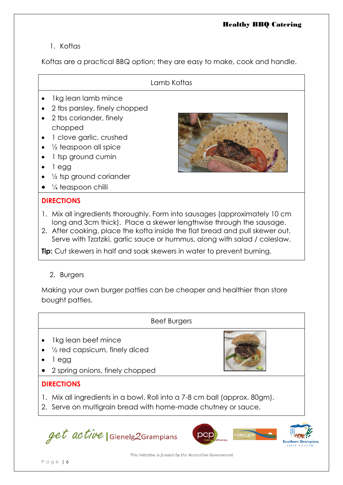# 1. Koftas

Koftas are a practical BBQ option; they are easy to make, cook and handle.

#### Lamb Koftas

- Ikg lean lamb mince
- 2 tbs parsley, finely chopped
- 2 tbs coriander, finely chopped
- 1 clove garlic, crushed
- $\bullet$   $\frac{1}{2}$  teaspoon all spice
- 1 tsp ground cumin
- $\bullet$  1 egg
- 1/<sub>2</sub> tsp ground coriander
- ¼ teaspoon chilli

#### **DIRECTIONS**

- 1. Mix all ingredients thoroughly. Form into sausages (approximately 10 cm long and 3cm thick). Place a skewer lengthwise through the sausage.
- 2. After cooking, place the kofta inside the flat bread and pull skewer out. Serve with Tzatziki, garlic sauce or hummus, along with salad / coleslaw.

**Tip:** Cut skewers in half and soak skewers in water to prevent burning.

#### 2. Burgers

Making your own burger patties can be cheaper and healthier than store bought patties.

|                   | <b>Beef Burgers</b>                                                                               |  |  |  |
|-------------------|---------------------------------------------------------------------------------------------------|--|--|--|
| $\bullet$         | Ikg lean beef mince<br>1/2 red capsicum, finely diced<br>egg<br>• 2 spring onions, finely chopped |  |  |  |
| <b>DIRECTIONS</b> |                                                                                                   |  |  |  |
|                   | 1. Mix all ingredients in a bowl. Roll into a 7-8 cm ball (approx. 80gm).                         |  |  |  |

2. Serve on multigrain bread with home-made chutney or sauce.

get active | Glenelg2Grampians





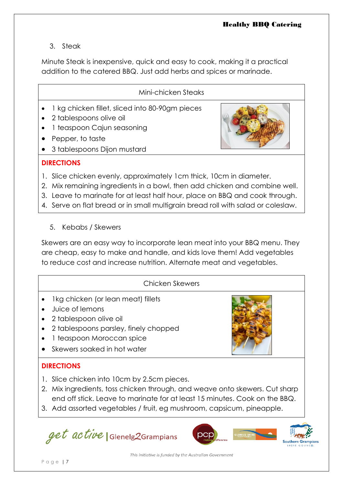## 3. Steak

Minute Steak is inexpensive, quick and easy to cook, making it a practical addition to the catered BBQ. Just add herbs and spices or marinade.

## Mini-chicken Steaks

- 1 kg chicken fillet, sliced into 80-90gm pieces
- 2 tablespoons olive oil
- 1 teaspoon Cajun seasoning
- Pepper, to taste
- 3 tablespoons Dijon mustard



## **DIRECTIONS**

- 1. Slice chicken evenly, approximately 1cm thick, 10cm in diameter.
- 2. Mix remaining ingredients in a bowl, then add chicken and combine well.
- 3. Leave to marinate for at least half hour, place on BBQ and cook through.
- 4. Serve on flat bread or in small multigrain bread roll with salad or coleslaw.
	- 5. Kebabs / Skewers

Skewers are an easy way to incorporate lean meat into your BBQ menu. They are cheap, easy to make and handle, and kids love them! Add vegetables to reduce cost and increase nutrition. Alternate meat and vegetables.

## Chicken Skewers

- Ikg chicken (or lean meat) fillets
- Juice of lemons
- 2 tablespoon olive oil
- 2 tablespoons parsley, finely chopped
- 1 teaspoon Moroccan spice
- Skewers soaked in hot water

# **DIRECTIONS**

- 1. Slice chicken into 10cm by 2.5cm pieces.
- 2. Mix ingredients, toss chicken through, and weave onto skewers. Cut sharp end off stick. Leave to marinate for at least 15 minutes. Cook on the BBQ.
- 3. Add assorted vegetables / fruit, eg mushroom, capsicum, pineapple.

get active Glenelg2Grampians



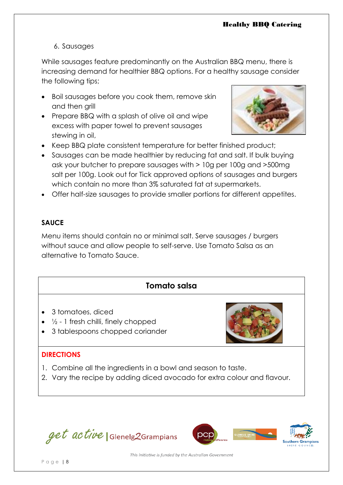### 6. Sausages

While sausages feature predominantly on the Australian BBQ menu, there is increasing demand for healthier BBQ options. For a healthy sausage consider the following tips;

- Boil sausages before you cook them, remove skin and then grill
- Prepare BBQ with a splash of olive oil and wipe excess with paper towel to prevent sausages stewing in oil,



- Keep BBQ plate consistent temperature for better finished product;
- Sausages can be made healthier by reducing fat and salt. If bulk buying ask your butcher to prepare sausages with > 10g per 100g and >500mg salt per 100g. Look out for Tick approved options of sausages and burgers which contain no more than 3% saturated fat at supermarkets.
- Offer half-size sausages to provide smaller portions for different appetites.

## **SAUCE**

Menu items should contain no or minimal salt. Serve sausages / burgers without sauce and allow people to self-serve. Use Tomato Salsa as an alternative to Tomato Sauce.

# **Tomato salsa**

- 3 tomatoes, diced
- $\bullet$   $\frac{1}{2}$  1 fresh chilli, finely chopped
- 3 tablespoons chopped coriander

## **DIRECTIONS**

- 1. Combine all the ingredients in a bowl and season to taste.
- 2. Vary the recipe by adding diced avocado for extra colour and flavour.



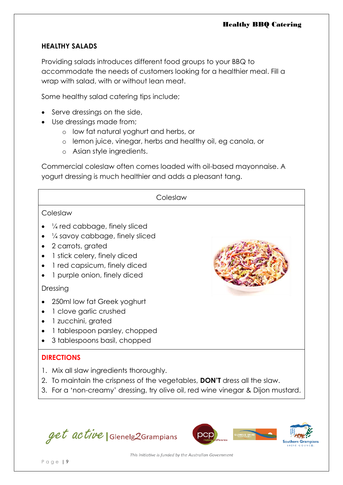### **HEALTHY SALADS**

Providing salads introduces different food groups to your BBQ to accommodate the needs of customers looking for a healthier meal. Fill a wrap with salad, with or without lean meat.

Some healthy salad catering tips include;

- Serve dressings on the side,
- Use dressings made from;
	- o low fat natural yoghurt and herbs, or
	- o lemon juice, vinegar, herbs and healthy oil, eg canola, or
	- o Asian style ingredients.

Commercial coleslaw often comes loaded with oil-based mayonnaise. A yogurt dressing is much healthier and adds a pleasant tang.

| Coleslaw                                                                                                                                                                                                           |  |  |  |  |  |
|--------------------------------------------------------------------------------------------------------------------------------------------------------------------------------------------------------------------|--|--|--|--|--|
| Coleslaw                                                                                                                                                                                                           |  |  |  |  |  |
| $\frac{1}{4}$ red cabbage, finely sliced<br>$\frac{1}{4}$ savoy cabbage, finely sliced<br>2 carrots, grated<br>1 stick celery, finely diced<br>1 red capsicum, finely diced<br>1 purple onion, finely diced        |  |  |  |  |  |
| Dressing                                                                                                                                                                                                           |  |  |  |  |  |
| 250ml low fat Greek yoghurt<br>1 clove garlic crushed<br>1 zucchini, grated<br>1 tablespoon parsley, chopped<br>3 tablespoons basil, chopped                                                                       |  |  |  |  |  |
| <b>DIRECTIONS</b>                                                                                                                                                                                                  |  |  |  |  |  |
| 1. Mix all slaw ingredients thoroughly.<br>To maintain the crispness of the vegetables, <b>DON'T</b> dress all the slaw.<br>2.<br>3. For a 'non-creamy' dressing, try olive oil, red wine vinegar & Dijon mustard. |  |  |  |  |  |

get active | Glenelg2Grampians

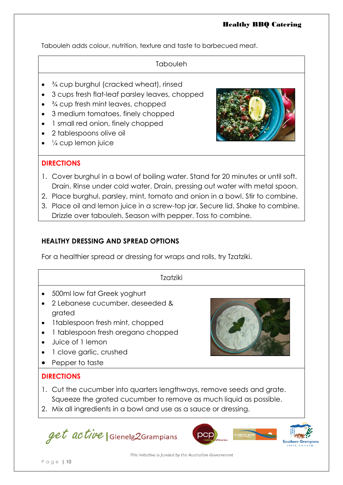Tabouleh adds colour, nutrition, texture and taste to barbecued meat.

| Tabouleh |  |
|----------|--|

- <sup>3</sup>/<sub>4</sub> cup burghul (cracked wheat), rinsed
- 3 cups fresh flat-leaf parsley leaves, chopped
- <sup>3</sup>/<sub>4</sub> cup fresh mint leaves, chopped
- 3 medium tomatoes, finely chopped
- 1 small red onion, finely chopped
- 2 tablespoons olive oil
- ¼ cup lemon juice

## **DIRECTIONS**



- 1. Cover burghul in a bowl of boiling water. Stand for 20 minutes or until soft. Drain. Rinse under cold water. Drain, pressing out water with metal spoon.
- 2. Place burghul, parsley, mint, tomato and onion in a bowl. Stir to combine.
- 3. Place oil and lemon juice in a screw-top jar. Secure lid. Shake to combine. Drizzle over tabouleh. Season with pepper. Toss to combine.

## **HEALTHY DRESSING AND SPREAD OPTIONS**

For a healthier spread or dressing for wraps and rolls, try Tzatziki.

| Tzatziki                                                                                                                                                                                                                                      |  |  |
|-----------------------------------------------------------------------------------------------------------------------------------------------------------------------------------------------------------------------------------------------|--|--|
| 500ml low fat Greek yoghurt<br>2 Lebanese cucumber, deseeded &<br>$\bullet$<br>grated<br>Itablespoon fresh mint, chopped<br>$\bullet$<br>1 tablespoon fresh oregano chopped<br>Juice of 1 lemon<br>1 clove garlic, crushed<br>Pepper to taste |  |  |
| <b>DIRECTIONS</b>                                                                                                                                                                                                                             |  |  |
| 1. Cut the cucumber into quarters lengthways, remove seeds and grate.<br>Squeeze the grated cucumber to remove as much liquid as possible.<br>2. Mix all ingredients in a bowl and use as a sauce or dressing.                                |  |  |

get active | Glenelg2Grampians



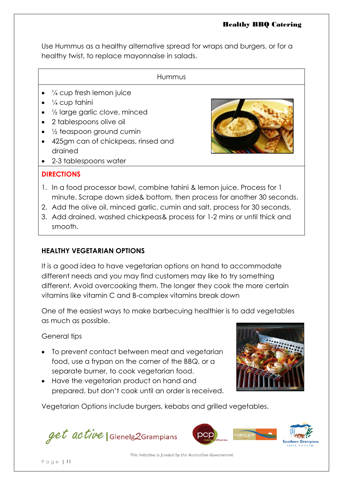Use Hummus as a healthy alternative spread for wraps and burgers, or for a healthy twist, to replace mayonnaise in salads.

| $\bullet$ $\frac{1}{4}$ cup fresh lemon juice<br>$\bullet$ $\frac{1}{4}$ cup tahini<br>1/2 large garlic clove, minced<br>• 2 tablespoons olive oil<br>$\bullet$ 1/2 teaspoon ground cumin<br>425gm can of chickpeas, rinsed and<br>drained<br>2-3 tablespoons water |  |
|---------------------------------------------------------------------------------------------------------------------------------------------------------------------------------------------------------------------------------------------------------------------|--|

## **DIRECTIONS**

- 1. In a food processor bowl, combine tahini & lemon juice. Process for 1 minute. Scrape down side& bottom, then process for another 30 seconds.
- 2. Add the olive oil, minced garlic, cumin and salt, process for 30 seconds,
- 3. Add drained, washed chickpeas& process for 1-2 mins or until thick and smooth.

## **HEALTHY VEGETARIAN OPTIONS**

It is a good idea to have vegetarian options on hand to accommodate different needs and you may find customers may like to try something different. Avoid overcooking them. The longer they cook the more certain vitamins like vitamin C and B-complex vitamins break down

One of the easiest ways to make barbecuing healthier is to add vegetables as much as possible.

General tips

- To prevent contact between meat and vegetarian food, use a frypan on the corner of the BBQ, or a separate burner, to cook vegetarian food.
- Have the vegetarian product on hand and prepared, but don't cook until an order is received.



Vegetarian Options include burgers, kebabs and grilled vegetables.

get active | Glenelg2Grampians

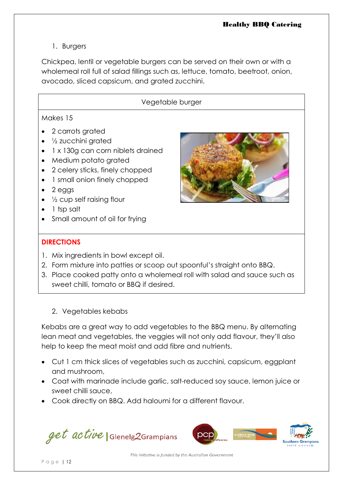1. Burgers

Chickpea, lentil or vegetable burgers can be served on their own or with a wholemeal roll full of salad fillings such as, lettuce, tomato, beetroot, onion, avocado, sliced capsicum, and grated zucchini.

# Vegetable burger

# Makes 15

- 2 carrots grated
- ½ zucchini grated
- 1 x 130g can corn niblets drained
- Medium potato grated
- 2 celery sticks, finely chopped
- 1 small onion finely chopped
- $\bullet$  2 eggs
- $\bullet$   $\frac{1}{2}$  cup self raising flour
- 1 tsp salt
- Small amount of oil for frying



## **DIRECTIONS**

- 1. Mix ingredients in bowl except oil.
- 2. Form mixture into patties or scoop out spoonful's straight onto BBQ.
- 3. Place cooked patty onto a wholemeal roll with salad and sauce such as sweet chilli, tomato or BBQ if desired.
	- 2. Vegetables kebabs

Kebabs are a great way to add vegetables to the BBQ menu. By alternating lean meat and vegetables, the veggies will not only add flavour, they'll also help to keep the meat moist and add fibre and nutrients.

- Cut 1 cm thick slices of vegetables such as zucchini, capsicum, eggplant and mushroom,
- Coat with marinade include garlic, salt-reduced soy sauce, lemon juice or sweet chilli sauce,
- Cook directly on BBQ. Add haloumi for a different flavour.



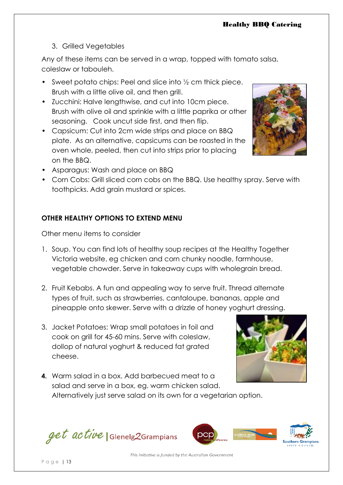# 3. Grilled Vegetables

Any of these items can be served in a wrap, topped with tomato salsa, coleslaw or tabouleh.

- Sweet potato chips: Peel and slice into  $\frac{1}{2}$  cm thick piece. Brush with a little olive oil, and then grill.
- Zucchini: Halve lengthwise, and cut into 10cm piece. Brush with olive oil and sprinkle with a little paprika or other seasoning. Cook uncut side first, and then flip.
- Capsicum: Cut into 2cm wide strips and place on BBQ plate. As an alternative, capsicums can be roasted in the oven whole, peeled, then cut into strips prior to placing on the BBQ.



- Asparagus: Wash and place on BBQ
- Corn Cobs: Grill sliced corn cobs on the BBQ. Use healthy spray. Serve with toothpicks. Add grain mustard or spices.

## **OTHER HEALTHY OPTIONS TO EXTEND MENU**

Other menu items to consider

- 1. Soup. You can find lots of healthy soup recipes at the Healthy Together Victoria website, eg chicken and corn chunky noodle, farmhouse, vegetable chowder. Serve in takeaway cups with wholegrain bread.
- 2. Fruit Kebabs. A fun and appealing way to serve fruit. Thread alternate types of fruit, such as strawberries, cantaloupe, bananas, apple and pineapple onto skewer. Serve with a drizzle of honey yoghurt dressing.
- 3. Jacket Potatoes: Wrap small potatoes in foil and cook on grill for 45-60 mins. Serve with coleslaw, dollop of natural yoghurt & reduced fat grated cheese.



**4.** Warm salad in a box. Add barbecued meat to a salad and serve in a box, eg. warm chicken salad. Alternatively just serve salad on its own for a vegetarian option.

get active | Glenelg2Grampians

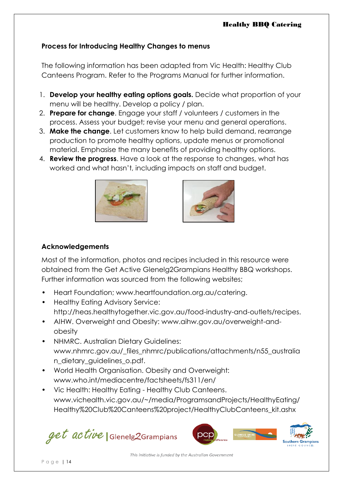## **Process for Introducing Healthy Changes to menus**

The following information has been adapted from Vic Health: Healthy Club Canteens Program. Refer to the Programs Manual for further information.

- 1. **Develop your healthy eating options goals.** Decide what proportion of your menu will be healthy. Develop a policy / plan.
- 2. **Prepare for change**. Engage your staff / volunteers / customers in the process. Assess your budget; revise your menu and general operations.
- 3. **Make the change**. Let customers know to help build demand, rearrange production to promote healthy options, update menus or promotional material. Emphasise the many benefits of providing healthy options.
- 4. **Review the progress**. Have a look at the response to changes, what has worked and what hasn't, including impacts on staff and budget.





## **Acknowledgements**

Most of the information, photos and recipes included in this resource were obtained from the Get Active Glenelg2Grampians Healthy BBQ workshops. Further information was sourced from the following websites;

- Heart Foundation; www.heartfoundation.org.au/catering.
- Healthy Eating Advisory Service: http://heas.healthytogether.vic.gov.au/food-industry-and-outlets/recipes.
- AIHW. Overweight and Obesity: www.aihw.gov.au/overweight-andobesity
- NHMRC. Australian Dietary Guidelines: www.nhmrc.gov.au/\_files\_nhmrc/publications/attachments/n55\_australia n\_dietary\_guidelines\_o.pdf.
- World Health Organisation. Obesity and Overweight: [www.who.int/mediacentre/factsheets/fs311/en/](http://www.who.int/mediacentre/factsheets/fs311/en/)
- Vic Health: Healthy Eating Healthy Club Canteens. www.vichealth.vic.gov.au/~/media/ProgramsandProjects/HealthyEating/ Healthy%20Club%20Canteens%20project/HealthyClubCanteens\_kit.ashx

get active | Glenelg2Grampians

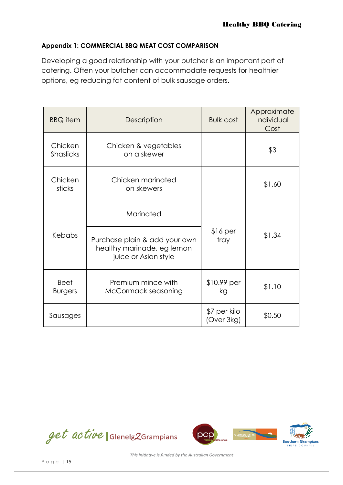#### **Appendix 1: COMMERCIAL BBQ MEAT COST COMPARISON**

Developing a good relationship with your butcher is an important part of catering. Often your butcher can accommodate requests for healthier options, eg reducing fat content of bulk sausage orders.

| <b>BBQ</b> item               | Description                                                                         | <b>Bulk cost</b>           | Approximate<br>Individual<br>Cost |  |
|-------------------------------|-------------------------------------------------------------------------------------|----------------------------|-----------------------------------|--|
| Chicken<br><b>Shaslicks</b>   | Chicken & vegetables<br>on a skewer                                                 |                            | \$3                               |  |
| Chicken<br>sticks             | Chicken marinated<br>on skewers                                                     |                            | \$1.60                            |  |
|                               | Marinated                                                                           |                            |                                   |  |
| Kebabs                        | Purchase plain & add your own<br>healthy marinade, eg lemon<br>juice or Asian style | $$16$ per<br>tray          | \$1.34                            |  |
| <b>Beef</b><br><b>Burgers</b> | Premium mince with<br>McCormack seasoning                                           | $$10.99$ per<br>kg         | \$1.10                            |  |
| Sausages                      |                                                                                     | \$7 per kilo<br>(Over 3kg) | \$0.50                            |  |